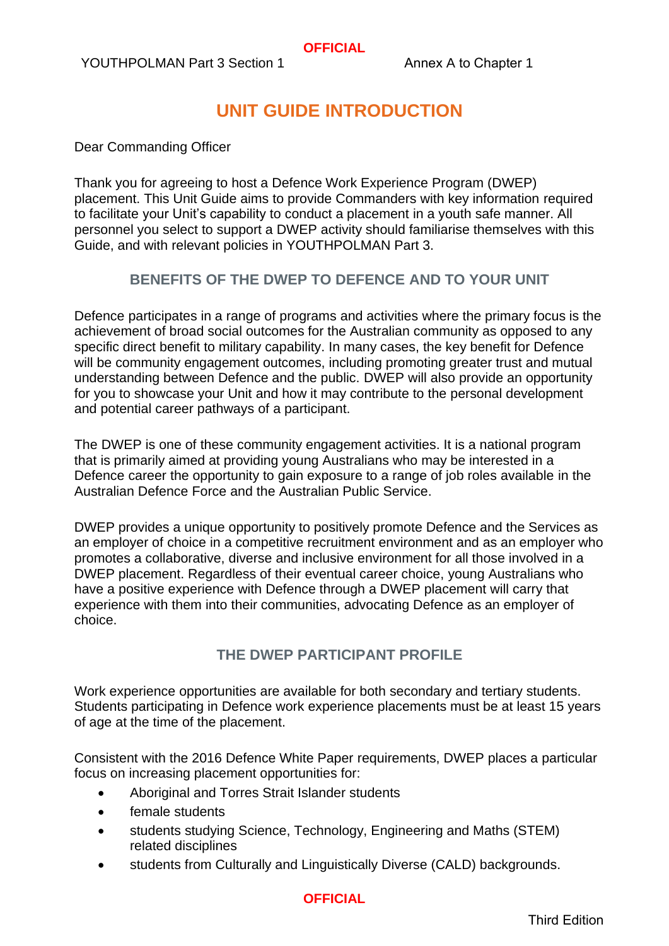YOUTHPOLMAN Part 3 Section 1 Annex A to Chapter 1

# **UNIT GUIDE INTRODUCTION**

Dear Commanding Officer

Thank you for agreeing to host a Defence Work Experience Program (DWEP) placement. This Unit Guide aims to provide Commanders with key information required to facilitate your Unit's capability to conduct a placement in a youth safe manner. All personnel you select to support a DWEP activity should familiarise themselves with this Guide, and with relevant policies in YOUTHPOLMAN Part 3.

#### **BENEFITS OF THE DWEP TO DEFENCE AND TO YOUR UNIT**

Defence participates in a range of programs and activities where the primary focus is the achievement of broad social outcomes for the Australian community as opposed to any specific direct benefit to military capability. In many cases, the key benefit for Defence will be community engagement outcomes, including promoting greater trust and mutual understanding between Defence and the public. DWEP will also provide an opportunity for you to showcase your Unit and how it may contribute to the personal development and potential career pathways of a participant.

The DWEP is one of these community engagement activities. It is a national program that is primarily aimed at providing young Australians who may be interested in a Defence career the opportunity to gain exposure to a range of job roles available in the Australian Defence Force and the Australian Public Service.

DWEP provides a unique opportunity to positively promote Defence and the Services as an employer of choice in a competitive recruitment environment and as an employer who promotes a collaborative, diverse and inclusive environment for all those involved in a DWEP placement. Regardless of their eventual career choice, young Australians who have a positive experience with Defence through a DWEP placement will carry that experience with them into their communities, advocating Defence as an employer of choice.

### **THE DWEP PARTICIPANT PROFILE**

Work experience opportunities are available for both secondary and tertiary students. Students participating in Defence work experience placements must be at least 15 years of age at the time of the placement.

Consistent with the 2016 Defence White Paper requirements, DWEP places a particular focus on increasing placement opportunities for:

- Aboriginal and Torres Strait Islander students
- female students
- students studying Science, Technology, Engineering and Maths (STEM) related disciplines
- students from Culturally and Linguistically Diverse (CALD) backgrounds.

### **OFFICIAL**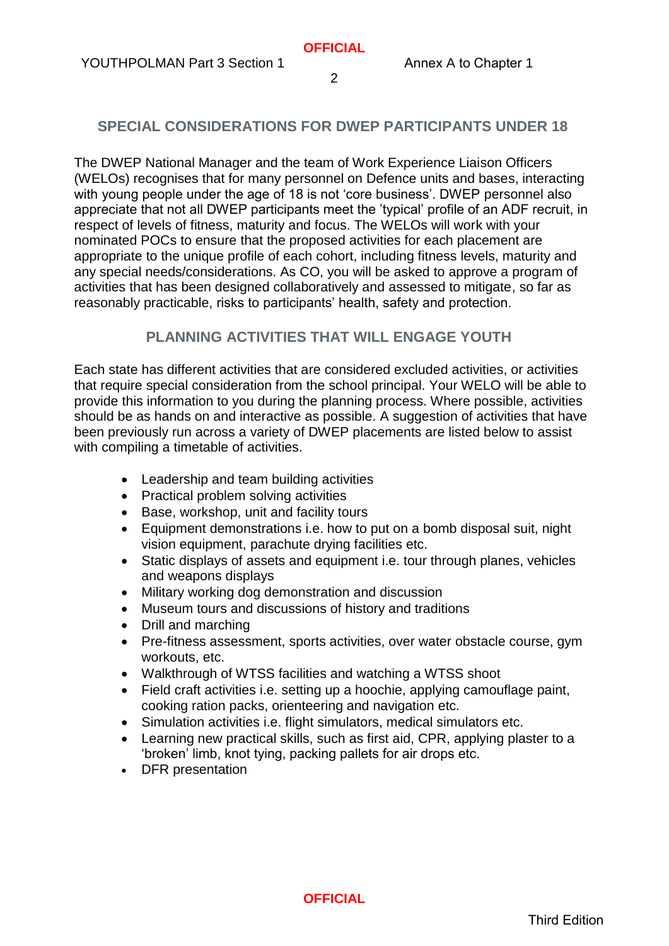### **SPECIAL CONSIDERATIONS FOR DWEP PARTICIPANTS UNDER 18**

The DWEP National Manager and the team of Work Experience Liaison Officers (WELOs) recognises that for many personnel on Defence units and bases, interacting with young people under the age of 18 is not 'core business'. DWEP personnel also appreciate that not all DWEP participants meet the 'typical' profile of an ADF recruit, in respect of levels of fitness, maturity and focus. The WELOs will work with your nominated POCs to ensure that the proposed activities for each placement are appropriate to the unique profile of each cohort, including fitness levels, maturity and any special needs/considerations. As CO, you will be asked to approve a program of activities that has been designed collaboratively and assessed to mitigate, so far as reasonably practicable, risks to participants' health, safety and protection.

### **PLANNING ACTIVITIES THAT WILL ENGAGE YOUTH**

Each state has different activities that are considered excluded activities, or activities that require special consideration from the school principal. Your WELO will be able to provide this information to you during the planning process. Where possible, activities should be as hands on and interactive as possible. A suggestion of activities that have been previously run across a variety of DWEP placements are listed below to assist with compiling a timetable of activities.

- Leadership and team building activities
- Practical problem solving activities
- Base, workshop, unit and facility tours
- Equipment demonstrations i.e. how to put on a bomb disposal suit, night vision equipment, parachute drying facilities etc.
- Static displays of assets and equipment i.e. tour through planes, vehicles and weapons displays
- Military working dog demonstration and discussion
- Museum tours and discussions of history and traditions
- Drill and marching
- Pre-fitness assessment, sports activities, over water obstacle course, gym workouts, etc.
- Walkthrough of WTSS facilities and watching a WTSS shoot
- Field craft activities i.e. setting up a hoochie, applying camouflage paint, cooking ration packs, orienteering and navigation etc.
- Simulation activities i.e. flight simulators, medical simulators etc.
- Learning new practical skills, such as first aid, CPR, applying plaster to a 'broken' limb, knot tying, packing pallets for air drops etc.
- DFR presentation

**OFFICIAL**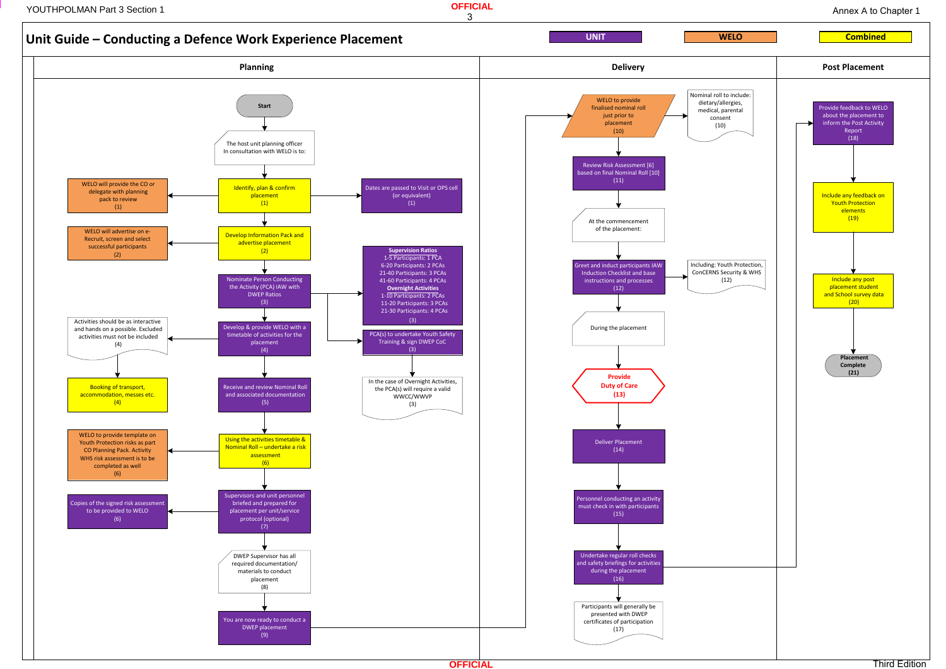

**OFFICIAL**

Annex A to Chapter 1

**PERSONAN PART 3 Section 1 Annex A to 2 Annex A to 2 Annex A to 2 Annex A to 2 Annex A to 2 Annex A to 2 Annex A to 2 Annex A to 2 Annex A to 2 Annex A to 2 Annex A to 2 Annex A to 2 Annex A to 2 Annex A to 2 Annex A to 2** 

3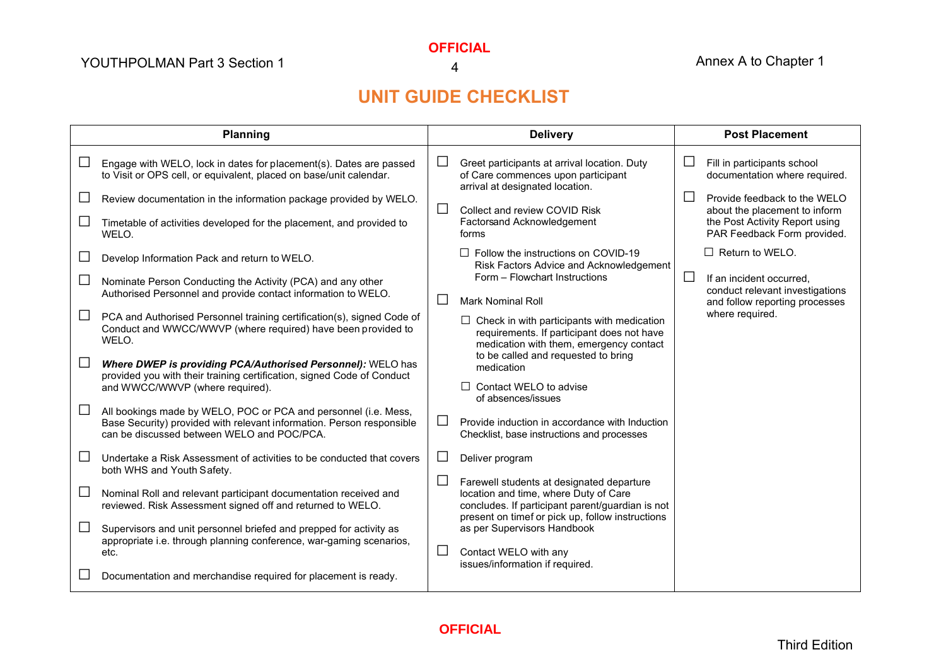**OFFICIAL**

4

# **UNIT GUIDE CHECKLIST**

| Planning |                                                                                                                                                                                                                                                                                                | <b>Delivery</b> |                                                                                                                                                                                               | <b>Post Placement</b>         |                                                                                                                                                                                                |
|----------|------------------------------------------------------------------------------------------------------------------------------------------------------------------------------------------------------------------------------------------------------------------------------------------------|-----------------|-----------------------------------------------------------------------------------------------------------------------------------------------------------------------------------------------|-------------------------------|------------------------------------------------------------------------------------------------------------------------------------------------------------------------------------------------|
|          | Engage with WELO, lock in dates for placement(s). Dates are passed<br>to Visit or OPS cell, or equivalent, placed on base/unit calendar.<br>Review documentation in the information package provided by WELO.<br>Timetable of activities developed for the placement, and provided to<br>WELO. | ப<br>$\perp$    | Greet participants at arrival location. Duty<br>of Care commences upon participant<br>arrival at designated location.<br>Collect and review COVID Risk<br>Factorsand Acknowledgement<br>forms | ப<br>$\overline{\phantom{0}}$ | Fill in participants school<br>documentation where required.<br>Provide feedback to the WELO<br>about the placement to inform<br>the Post Activity Report using<br>PAR Feedback Form provided. |
|          | Develop Information Pack and return to WELO.<br>Nominate Person Conducting the Activity (PCA) and any other<br>Authorised Personnel and provide contact information to WELO.                                                                                                                   | ΙI              | $\Box$ Follow the instructions on COVID-19<br>Risk Factors Advice and Acknowledgement<br>Form - Flowchart Instructions<br><b>Mark Nominal Roll</b>                                            | $\Box$                        | $\Box$ Return to WELO.<br>If an incident occurred.<br>conduct relevant investigations<br>and follow reporting processes                                                                        |
|          | PCA and Authorised Personnel training certification(s), signed Code of<br>Conduct and WWCC/WWVP (where required) have been provided to<br>WELO.                                                                                                                                                |                 | $\Box$ Check in with participants with medication<br>requirements. If participant does not have<br>medication with them, emergency contact                                                    |                               | where required.                                                                                                                                                                                |
|          | Where DWEP is providing PCA/Authorised Personnel): WELO has<br>provided you with their training certification, signed Code of Conduct<br>and WWCC/WWVP (where required).                                                                                                                       |                 | to be called and requested to bring<br>medication<br>$\Box$ Contact WELO to advise<br>of absences/issues                                                                                      |                               |                                                                                                                                                                                                |
|          | All bookings made by WELO, POC or PCA and personnel (i.e. Mess,<br>Base Security) provided with relevant information. Person responsible<br>can be discussed between WELO and POC/PCA.                                                                                                         | $\Box$          | Provide induction in accordance with Induction<br>Checklist, base instructions and processes                                                                                                  |                               |                                                                                                                                                                                                |
|          | Undertake a Risk Assessment of activities to be conducted that covers<br>both WHS and Youth Safety.                                                                                                                                                                                            |                 | Deliver program                                                                                                                                                                               |                               |                                                                                                                                                                                                |
|          | Nominal Roll and relevant participant documentation received and<br>reviewed. Risk Assessment signed off and returned to WELO.                                                                                                                                                                 |                 | Farewell students at designated departure<br>location and time, where Duty of Care<br>concludes. If participant parent/guardian is not<br>present on timef or pick up, follow instructions    |                               |                                                                                                                                                                                                |
|          | Supervisors and unit personnel briefed and prepped for activity as<br>appropriate i.e. through planning conference, war-gaming scenarios,<br>etc.                                                                                                                                              | ⊔               | as per Supervisors Handbook<br>Contact WELO with any                                                                                                                                          |                               |                                                                                                                                                                                                |
|          | Documentation and merchandise required for placement is ready.                                                                                                                                                                                                                                 |                 | issues/information if required.                                                                                                                                                               |                               |                                                                                                                                                                                                |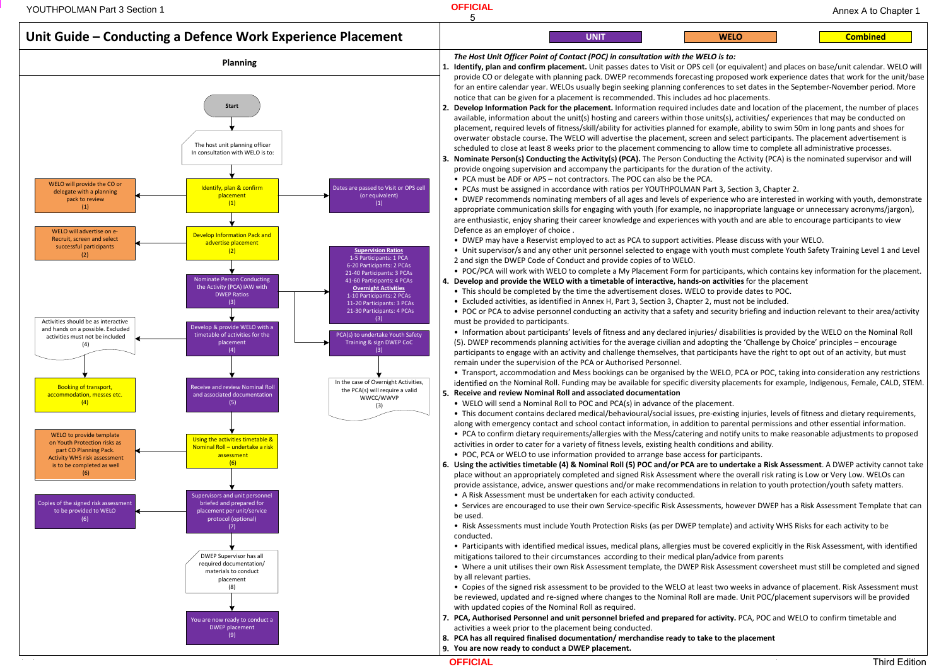**1. Identify, plan and confirm placement.** Unit passes dates to Visit or OPS cell (or equivalent) and places on base/unit calendar. WELO will provide CO or delegate with planning pack. DWEP recommends forecasting proposed work experience dates that work for the unit/base for an entire calendar year. WELOs usually begin seeking planning conferences to set dates in the September-November period. More

#### **WELO**

#### **Combined**

**Develop Information Pack for the placement.** Information required includes date and location of the placement, the number of places **2.**available, information about the unit(s) hosting and careers within those units(s), activities/ experiences that may be conducted on placement, required levels of fitness/skill/ability for activities planned for example, ability to swim 50m in long pants and shoes for overwater obstacle course. The WELO will advertise the placement, screen and select participants. The placement advertisement is

• DWEP recommends nominating members of all ages and levels of experience who are interested in working with youth, demonstrate appropriate communication skills for engaging with youth (for example, no inappropriate language or unnecessary acronyms/jargon),

• POC/PCA will work with WELO to complete a My Placement Form for participants, which contains key information for the placement.<br>Develop and provide the WELO with a timetable of interactive, hands-on activities for the pl

• Information about participants' levels of fitness and any declared injuries/ disabilities is provided by the WELO on the Nominal Roll<br>(5) DWEP recommends planning activities for the average civilian and adonting the 'Cha

• Transport, accommodation and Mess bookings can be organised by the WELO, PCA or POC, taking into consideration any restrictions<br>identified on the Nominal Roll. Funding may be available for specific diversity placements f

• This document contains declared medical/behavioural/social issues, pre-existing injuries, levels of fitness and dietary requirements,<br>along with emergency contact and school contact information, in addition to parental p ● PCA to confirm dietary requirements/allergies with the Mess/catering and notify units to make reasonable adjustments to proposed<br>activities in order to cater for a variety of fitness levels, existing health conditions a

• Copies of the signed risk assessment to be provided to the WELO at least two weeks in advance of placement. Risk Assessment must<br>he reviewed undated and re-signed where changes to the Nominal Boll are made. Unit POC/plac be reviewed, updated and re-signed where changes to the Nominal Roll are made. Unit POC/placement supervisors will be provided



**Using the activities timetable (4) & Nominal Roll (5) POC and/or PCA are to undertake a Risk Assessment**. A DWEP activity cannot take **6.**place without an appropriately completed and signed Risk Assessment where the overall risk rating is Low or Very Low. WELOs can

• Participants with identified medical issues, medical plans, allergies must be covered explicitly in the Risk Assessment, with identified<br>mitigations tailored to their circumstances, according to their medical plan/advic

**OFFICIAL**

Annex A to Chapter 1

**YOUTHPOLMAN Part 3 Section 1 OFFICIAL Annex A to 2 annex A to 2 annex A to 2 annex A to 2 annex A to 2 annex A** to 2 annex A to 2 annex A to 2 annex A to 2 annex A to 2 annex A to 2 annex A to 2 annex A to 2 annex A t

5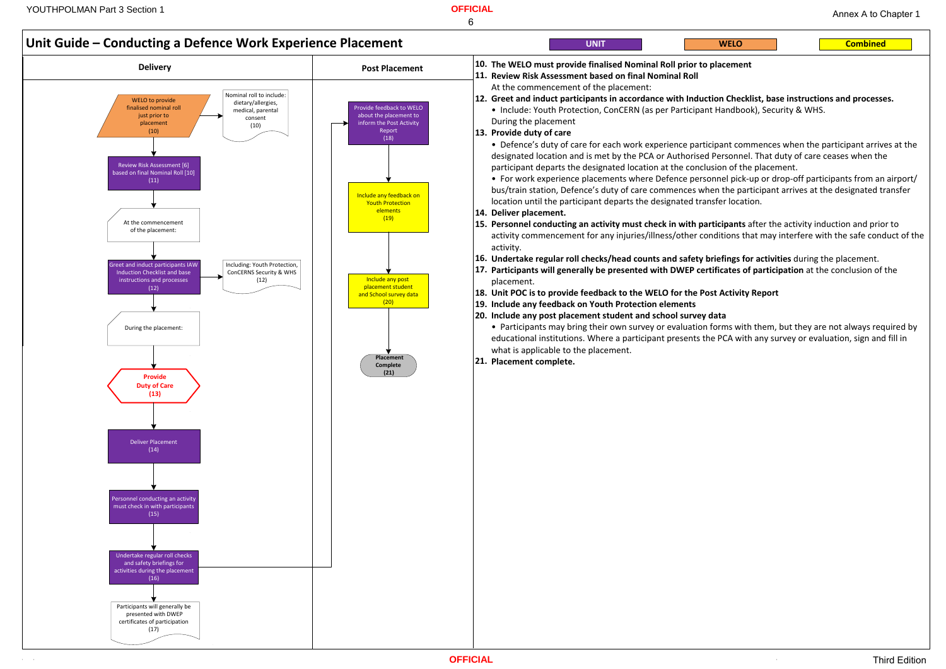**Combined**

**Unit Guide – Conducting <sup>a</sup> Defence Work Experience Placement Delivery Post Placement** At the commencement of the placement: ireet and induct participants IAV Induction Checklist and base instructions and processes $(12)$ Including: Youth Protection, ConCERNS Security & WHS (12)WELO to provide finalised nominal roll just prior to placement $(10)$ Nominal roll to include: dietary/allergies,medical, parental consent $(10)$ **Provide Duty of Care(13)**During the placement: Undertake regular roll checks and safety briefings for activities during the placement (16)Provide feedback to WELO about the placement to inform the Post Activity Report(18)Include any feedback onYouth Protection elements $(19)$ **Placement Complete(21)**Include any post placement student and School survey data (20)Review Risk Assessment [6] based on final Nominal Roll [10] (11)Deliver Placement  $(14)$ Personnel conducting an activity must check in with participants (15)Participants will generally bepresented with DWEP certificates of participation(17)**UNIT WELOThe WELO must provide finalised Nominal Roll prior to placement10.Review Risk Assessment based on final Nominal Roll 11.**At the commencement of the placement:**Greet and induct participants in accordance with Induction Checklist, base instructions and processes. 12.**• Include: Youth Protection, ConCERN (as per Participant Handbook), Security & WHS. During the placement **Provide duty of care13.**• Defence's duty of care for each work experience participant commences when the participant arrives at the<br>designated location and is met by the PCA or Authorised Personnel. That duty of care ceases when the designated location and is met by the PCA or Authorised Personnel. That duty of care ceases when theparticipant departs the designated location at the conclusion of the placement.• For work experience placements where Defence personnel pick-up or drop-off participants from an airport/<br>hus/train station. Defence's duty of care commences when the participant arrives at the designated transfer. bus/train station, Defence's duty of care commences when the participant arrives at the designated transferlocation until the participant departs the designated transfer location.**Deliver placement.14.Personnel conducting an activity must check in with participants** after the activity induction and prior to**15.**activity.**Undertake regular roll checks/head counts and safety briefings for activities** during the placement.**16.Participants will generally be presented with DWEP certificates of participation** at the conclusion of the**17.**placement.**Unit POC is to provide feedback to the WELO for the Post Activity Report18.Include any feedback on Youth Protection elements19. Include any post placement student and school survey data20.**• Participants may bring their own survey or evaluation forms with them, but they are not always required by<br>educational institutions. Where a participant presents the PCA with any survey or evaluation, sign and fill in educational institutions. Where a participant presents the PCA with any survey or evaluation, sign and fill inwhat is applicable to the placement.**Placement complete.21.**

activity commencement for any injuries/illness/other conditions that may interfere with the safe conduct of the

| <b>Service Service</b> | <b>Contract Contract Contract Contract Contract Contract Contract Contract Contract Contract Contract Contract Co</b> |  |
|------------------------|-----------------------------------------------------------------------------------------------------------------------|--|

# 6